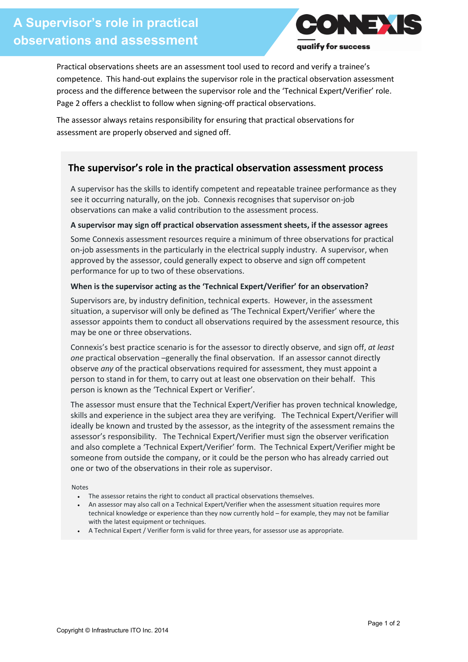

Practical observations sheets are an assessment tool used to record and verify a trainee's competence. This hand-out explains the supervisor role in the practical observation assessment process and the difference between the supervisor role and the 'Technical Expert/Verifier' role. Page 2 offers a checklist to follow when signing-off practical observations.

The assessor always retains responsibility for ensuring that practical observations for assessment are properly observed and signed off.

## **The supervisor's role in the practical observation assessment process**

A supervisor has the skills to identify competent and repeatable trainee performance as they see it occurring naturally, on the job. Connexis recognises that supervisor on-job observations can make a valid contribution to the assessment process.

#### **A supervisor may sign off practical observation assessment sheets, if the assessor agrees**

Some Connexis assessment resources require a minimum of three observations for practical on-job assessments in the particularly in the electrical supply industry. A supervisor, when approved by the assessor, could generally expect to observe and sign off competent performance for up to two of these observations.

#### **When is the supervisor acting as the 'Technical Expert/Verifier' for an observation?**

Supervisors are, by industry definition, technical experts. However, in the assessment situation, a supervisor will only be defined as 'The Technical Expert/Verifier' where the assessor appoints them to conduct all observations required by the assessment resource, this may be one or three observations.

Connexis's best practice scenario is for the assessor to directly observe, and sign off, *at least one* practical observation –generally the final observation. If an assessor cannot directly observe *any* of the practical observations required for assessment, they must appoint a person to stand in for them, to carry out at least one observation on their behalf. This person is known as the 'Technical Expert or Verifier'.

The assessor must ensure that the Technical Expert/Verifier has proven technical knowledge, skills and experience in the subject area they are verifying. The Technical Expert/Verifier will ideally be known and trusted by the assessor, as the integrity of the assessment remains the assessor's responsibility. The Technical Expert/Verifier must sign the observer verification and also complete a 'Technical Expert/Verifier' form. The Technical Expert/Verifier might be someone from outside the company, or it could be the person who has already carried out one or two of the observations in their role as supervisor.

Notes

- The assessor retains the right to conduct all practical observations themselves.
- An assessor may also call on a Technical Expert/Verifier when the assessment situation requires more technical knowledge or experience than they now currently hold – for example, they may not be familiar with the latest equipment or techniques.
- A Technical Expert / Verifier form is valid for three years, for assessor use as appropriate.